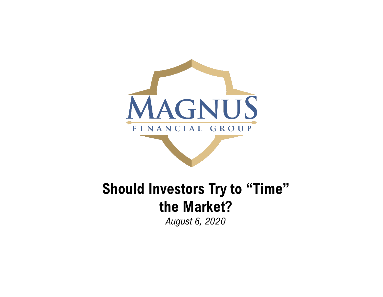

# **Should Investors Try to "Time" the Market?**

*August 6, 2020*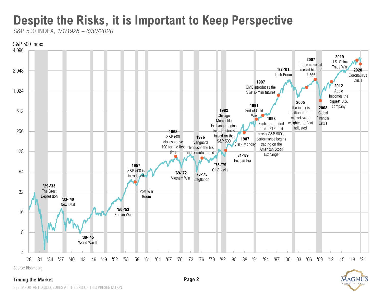# **Despite the Risks, it is Important to Keep Perspective**

S&P 500 INDEX, *1/1/1928 – 6/30/2020*



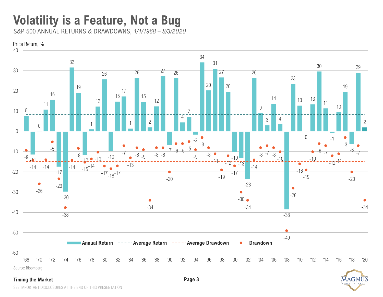#### **Volatility is a Feature, Not a Bug**

S&P 500 ANNUAL RETURNS & DRAWDOWNS, *1/1/1968 – 8/3/2020* 





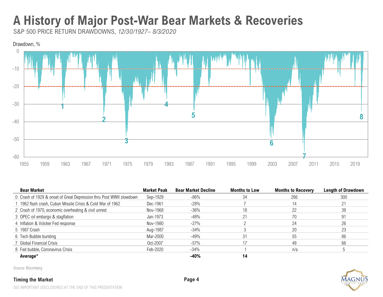### **A History of Major Post-War Bear Markets & Recoveries**

S&P 500 PRICE RETURN DRAWDOWNS, *12/30/1927– 8/3/2020*



| <b>Bear Market</b>                                                  | <b>Market Peak</b> | <b>Bear Market Decline</b> | <b>Months to Low</b> | <b>Months to Recovery</b> | <b>Length of Drawdown</b> |
|---------------------------------------------------------------------|--------------------|----------------------------|----------------------|---------------------------|---------------------------|
| 0 Crash of 1929 & onset of Great Depression thru Post WWII slowdown | Sep-1929           | $-86\%$                    | 34                   | 266                       | 300                       |
| 1962 flash crash, Cuban Missile Crisis & Cold War of 1962           | Dec-1961           | $-28%$                     |                      |                           |                           |
| 2 Crash of 1970, economic overheating & civil unrest                | Nov-1968           | $-36\%$                    |                      |                           | 39                        |
| 3 OPEC oil embargo & stagflation                                    | Jan-1973           | $-48%$                     | 21                   | 70                        | 91                        |
| 4 Inflation & Volcker Fed response                                  | Nov-1980           | $-27\%$                    |                      |                           | 26                        |
| 5 1987 Crash                                                        | Aug-1987           | $-34%$                     |                      | 20                        | 23                        |
| 6 Tech Bubble bursting                                              | Mar-2000           | $-49%$                     | 31                   | 55                        | 86                        |
| 7 Global Financial Crisis                                           | Oct-2007           | $-57\%$                    |                      | 49                        | 66                        |
| 8 Fed bubble, Coronavirus Crisis                                    | Feb-2020           | $-34\%$                    |                      | n/a                       |                           |
| Average*                                                            |                    | -40%                       | 14                   |                           |                           |

Source: Bloomberg

#### **Timing the Market Page 4**



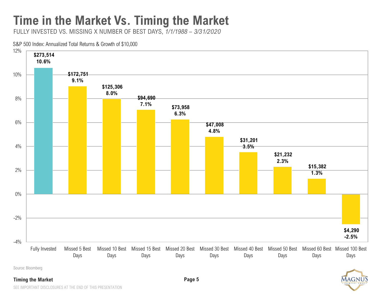# **Time in the Market Vs. Timing the Market**

FULLY INVESTED VS. MISSING X NUMBER OF BEST DAYS, *1/1/1988 – 3/31/2020*

#### S&P 500 Index: Annualized Total Returns & Growth of \$10,000



Source: Bloomberg

#### **Timing the Market Page 5**

SEE IMPORTANT DISCLOSURES AT THE END OF THIS PRESENTATION

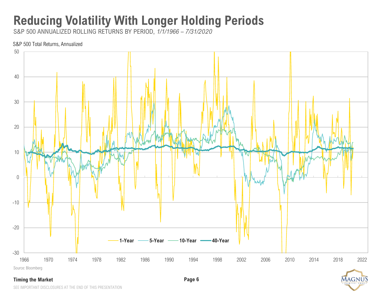# **Reducing Volatility With Longer Holding Periods**

S&P 500 ANNUALIZED ROLLING RETURNS BY PERIOD, *1/1/1966 – 7/31/2020*

#### S&P 500 Total Returns, Annualized



# MAGNU

SEE IMPORTANT DISCLOSURES AT THE END OF THIS PRESENTATION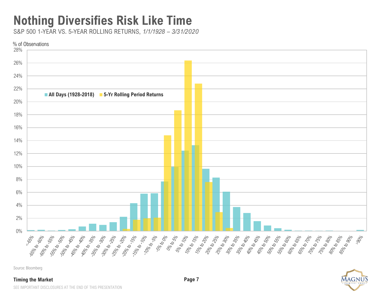### **Nothing Diversifies Risk Like Time**

S&P 500 1-YEAR VS. 5-YEAR ROLLING RETURNS, *1/1/1928 – 3/31/2020*



Source: Bloomberg

#### **Timing the Market Page 7**



MAGN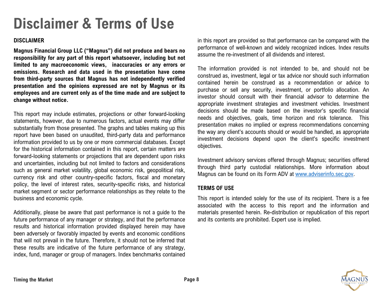# **Disclaimer & Terms of Use**

#### **DISCLAIMER**

**Magnus Financial Group LLC ("Magnus") did not produce and bears no responsibility for any part of this report whatsoever, including but not limited to any macroeconomic views, inaccuracies or any errors or omissions. Research and data used in the presentation have come from third-party sources that Magnus has not independently verified presentation and the opinions expressed are not by Magnus or its employees and are current only as of the time made and are subject to change without notice.**

This report may include estimates, projections or other forward-looking statements, however, due to numerous factors, actual events may differ substantially from those presented. The graphs and tables making up this report have been based on unaudited, third-party data and performance information provided to us by one or more commercial databases. Except for the historical information contained in this report, certain matters are forward-looking statements or projections that are dependent upon risks and uncertainties, including but not limited to factors and considerations such as general market volatility, global economic risk, geopolitical risk, currency risk and other country-specific factors, fiscal and monetary policy, the level of interest rates, security-specific risks, and historical market segment or sector performance relationships as they relate to the business and economic cycle.

Additionally, please be aware that past performance is not a guide to the future performance of any manager or strategy, and that the performance results and historical information provided displayed herein may have been adversely or favorably impacted by events and economic conditions that will not prevail in the future. Therefore, it should not be inferred that these results are indicative of the future performance of any strategy, index, fund, manager or group of managers. Index benchmarks contained

in this report are provided so that performance can be compared with the performance of well-known and widely recognized indices. Index results assume the re-investment of all dividends and interest.

The information provided is not intended to be, and should not be construed as, investment, legal or tax advice nor should such information contained herein be construed as a recommendation or advice to purchase or sell any security, investment, or portfolio allocation. An investor should consult with their financial advisor to determine the appropriate investment strategies and investment vehicles. Investment decisions should be made based on the investor's specific financial needs and objectives, goals, time horizon and risk tolerance. This presentation makes no implied or express recommendations concerning the way any client's accounts should or would be handled, as appropriate investment decisions depend upon the client's specific investment objectives.

Investment advisory services offered through Magnus; securities offered through third party custodial relationships. More information about Magnus can be found on its Form ADV at [www.adviserinfo.sec.gov.](http://www.adviserinfo.sec.gov/)

#### **TERMS OF USE**

This report is intended solely for the use of its recipient. There is a fee associated with the access to this report and the information and materials presented herein. Re-distribution or republication of this report and its contents are prohibited. Expert use is implied.